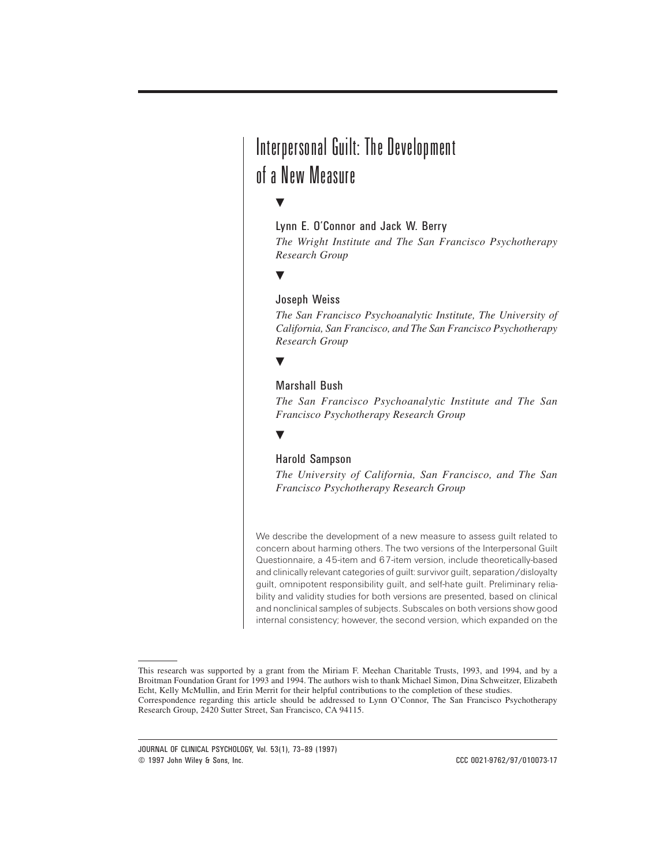# Interpersonal Guilt: The Development of a New Measure

# $\blacktriangledown$

# Lynn E. O'Connor and Jack W. Berry

*The Wright Institute and The San Francisco Psychotherapy Research Group*

## $\blacktriangledown$

# Joseph Weiss

*The San Francisco Psychoanalytic Institute, The University of California, San Francisco, and The San Francisco Psychotherapy Research Group*

## $\blacktriangledown$

# Marshall Bush

*The San Francisco Psychoanalytic Institute and The San Francisco Psychotherapy Research Group*

# Ä

# Harold Sampson

*The University of California, San Francisco, and The San Francisco Psychotherapy Research Group*

We describe the development of a new measure to assess guilt related to concern about harming others. The two versions of the Interpersonal Guilt Questionnaire, a 45-item and 67-item version, include theoretically-based and clinically relevant categories of guilt: survivor guilt, separation/disloyalty guilt, omnipotent responsibility guilt, and self-hate guilt. Preliminary reliability and validity studies for both versions are presented, based on clinical and nonclinical samples of subjects. Subscales on both versions show good internal consistency; however, the second version, which expanded on the

JOURNAL OF CLINICAL PSYCHOLOGY, Vol. 53(1), 73–89 (1997) © 1997 John Wiley & Sons, Inc. CCC 0021-9762/97/010073-17

This research was supported by a grant from the Miriam F. Meehan Charitable Trusts, 1993, and 1994, and by a Broitman Foundation Grant for 1993 and 1994. The authors wish to thank Michael Simon, Dina Schweitzer, Elizabeth Echt, Kelly McMullin, and Erin Merrit for their helpful contributions to the completion of these studies.

Correspondence regarding this article should be addressed to Lynn O'Connor, The San Francisco Psychotherapy Research Group, 2420 Sutter Street, San Francisco, CA 94115.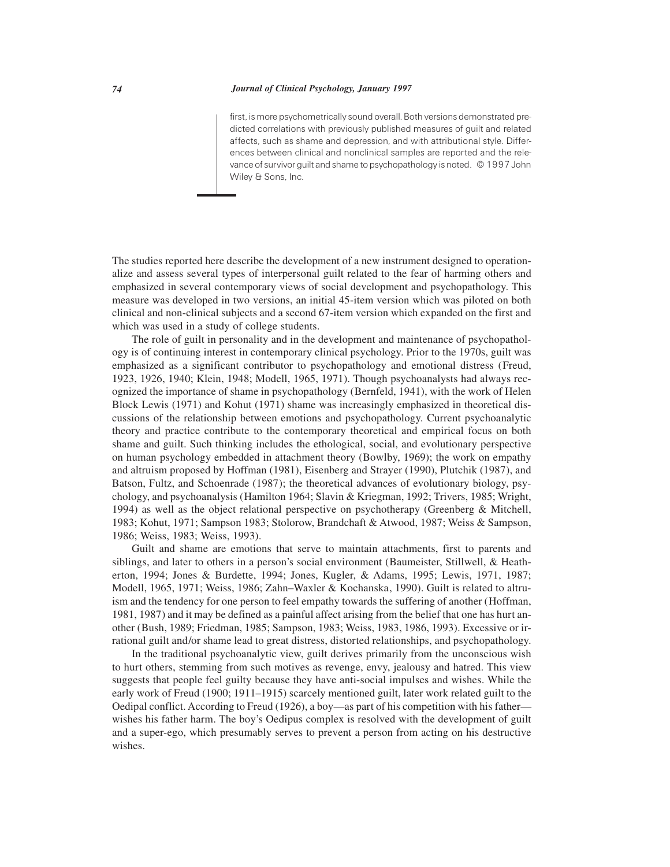#### *74 Journal of Clinical Psychology, January 1997*

first, is more psychometrically sound overall. Both versions demonstrated predicted correlations with previously published measures of guilt and related affects, such as shame and depression, and with attributional style. Differences between clinical and nonclinical samples are reported and the relevance of survivor guilt and shame to psychopathology is noted. © 1997 John Wiley & Sons, Inc.

The studies reported here describe the development of a new instrument designed to operationalize and assess several types of interpersonal guilt related to the fear of harming others and emphasized in several contemporary views of social development and psychopathology. This measure was developed in two versions, an initial 45-item version which was piloted on both clinical and non-clinical subjects and a second 67-item version which expanded on the first and which was used in a study of college students.

The role of guilt in personality and in the development and maintenance of psychopathology is of continuing interest in contemporary clinical psychology. Prior to the 1970s, guilt was emphasized as a significant contributor to psychopathology and emotional distress (Freud, 1923, 1926, 1940; Klein, 1948; Modell, 1965, 1971). Though psychoanalysts had always recognized the importance of shame in psychopathology (Bernfeld, 1941), with the work of Helen Block Lewis (1971) and Kohut (1971) shame was increasingly emphasized in theoretical discussions of the relationship between emotions and psychopathology. Current psychoanalytic theory and practice contribute to the contemporary theoretical and empirical focus on both shame and guilt. Such thinking includes the ethological, social, and evolutionary perspective on human psychology embedded in attachment theory (Bowlby, 1969); the work on empathy and altruism proposed by Hoffman (1981), Eisenberg and Strayer (1990), Plutchik (1987), and Batson, Fultz, and Schoenrade (1987); the theoretical advances of evolutionary biology, psychology, and psychoanalysis (Hamilton 1964; Slavin & Kriegman, 1992; Trivers, 1985; Wright, 1994) as well as the object relational perspective on psychotherapy (Greenberg & Mitchell, 1983; Kohut, 1971; Sampson 1983; Stolorow, Brandchaft & Atwood, 1987; Weiss & Sampson, 1986; Weiss, 1983; Weiss, 1993).

Guilt and shame are emotions that serve to maintain attachments, first to parents and siblings, and later to others in a person's social environment (Baumeister, Stillwell, & Heatherton, 1994; Jones & Burdette, 1994; Jones, Kugler, & Adams, 1995; Lewis, 1971, 1987; Modell, 1965, 1971; Weiss, 1986; Zahn–Waxler & Kochanska, 1990). Guilt is related to altruism and the tendency for one person to feel empathy towards the suffering of another (Hoffman, 1981, 1987) and it may be defined as a painful affect arising from the belief that one has hurt another (Bush, 1989; Friedman, 1985; Sampson, 1983; Weiss, 1983, 1986, 1993). Excessive or irrational guilt and/or shame lead to great distress, distorted relationships, and psychopathology.

In the traditional psychoanalytic view, guilt derives primarily from the unconscious wish to hurt others, stemming from such motives as revenge, envy, jealousy and hatred. This view suggests that people feel guilty because they have anti-social impulses and wishes. While the early work of Freud (1900; 1911–1915) scarcely mentioned guilt, later work related guilt to the Oedipal conflict. According to Freud (1926), a boy—as part of his competition with his father wishes his father harm. The boy's Oedipus complex is resolved with the development of guilt and a super-ego, which presumably serves to prevent a person from acting on his destructive wishes.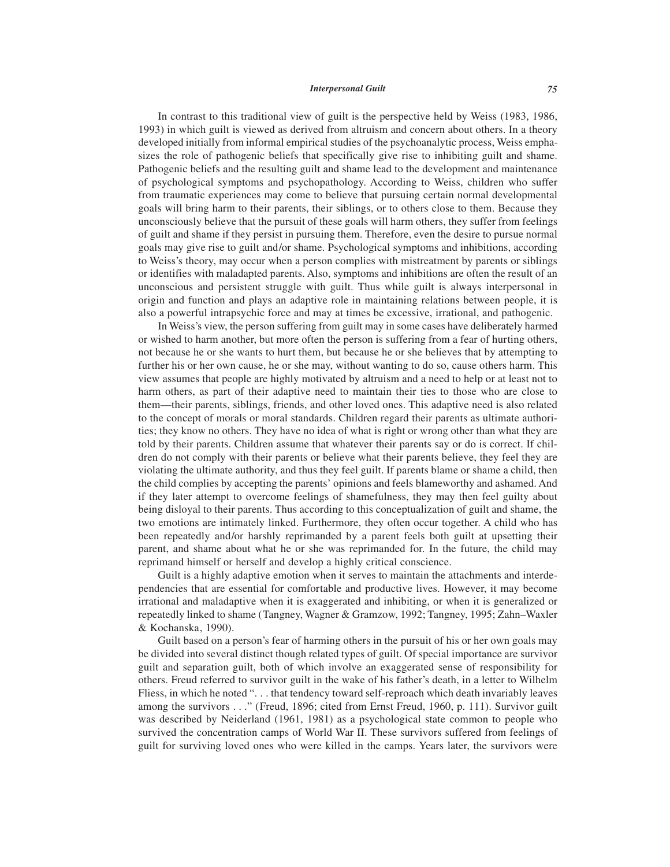#### *Interpersonal Guilt 75*

In contrast to this traditional view of guilt is the perspective held by Weiss (1983, 1986, 1993) in which guilt is viewed as derived from altruism and concern about others. In a theory developed initially from informal empirical studies of the psychoanalytic process, Weiss emphasizes the role of pathogenic beliefs that specifically give rise to inhibiting guilt and shame. Pathogenic beliefs and the resulting guilt and shame lead to the development and maintenance of psychological symptoms and psychopathology. According to Weiss, children who suffer from traumatic experiences may come to believe that pursuing certain normal developmental goals will bring harm to their parents, their siblings, or to others close to them. Because they unconsciously believe that the pursuit of these goals will harm others, they suffer from feelings of guilt and shame if they persist in pursuing them. Therefore, even the desire to pursue normal goals may give rise to guilt and/or shame. Psychological symptoms and inhibitions, according to Weiss's theory, may occur when a person complies with mistreatment by parents or siblings or identifies with maladapted parents. Also, symptoms and inhibitions are often the result of an unconscious and persistent struggle with guilt. Thus while guilt is always interpersonal in origin and function and plays an adaptive role in maintaining relations between people, it is also a powerful intrapsychic force and may at times be excessive, irrational, and pathogenic.

In Weiss's view, the person suffering from guilt may in some cases have deliberately harmed or wished to harm another, but more often the person is suffering from a fear of hurting others, not because he or she wants to hurt them, but because he or she believes that by attempting to further his or her own cause, he or she may, without wanting to do so, cause others harm. This view assumes that people are highly motivated by altruism and a need to help or at least not to harm others, as part of their adaptive need to maintain their ties to those who are close to them—their parents, siblings, friends, and other loved ones. This adaptive need is also related to the concept of morals or moral standards. Children regard their parents as ultimate authorities; they know no others. They have no idea of what is right or wrong other than what they are told by their parents. Children assume that whatever their parents say or do is correct. If children do not comply with their parents or believe what their parents believe, they feel they are violating the ultimate authority, and thus they feel guilt. If parents blame or shame a child, then the child complies by accepting the parents' opinions and feels blameworthy and ashamed. And if they later attempt to overcome feelings of shamefulness, they may then feel guilty about being disloyal to their parents. Thus according to this conceptualization of guilt and shame, the two emotions are intimately linked. Furthermore, they often occur together. A child who has been repeatedly and/or harshly reprimanded by a parent feels both guilt at upsetting their parent, and shame about what he or she was reprimanded for. In the future, the child may reprimand himself or herself and develop a highly critical conscience.

Guilt is a highly adaptive emotion when it serves to maintain the attachments and interdependencies that are essential for comfortable and productive lives. However, it may become irrational and maladaptive when it is exaggerated and inhibiting, or when it is generalized or repeatedly linked to shame (Tangney, Wagner & Gramzow, 1992; Tangney, 1995; Zahn–Waxler & Kochanska, 1990).

Guilt based on a person's fear of harming others in the pursuit of his or her own goals may be divided into several distinct though related types of guilt. Of special importance are survivor guilt and separation guilt, both of which involve an exaggerated sense of responsibility for others. Freud referred to survivor guilt in the wake of his father's death, in a letter to Wilhelm Fliess, in which he noted "... that tendency toward self-reproach which death invariably leaves among the survivors . . ." (Freud, 1896; cited from Ernst Freud, 1960, p. 111). Survivor guilt was described by Neiderland (1961, 1981) as a psychological state common to people who survived the concentration camps of World War II. These survivors suffered from feelings of guilt for surviving loved ones who were killed in the camps. Years later, the survivors were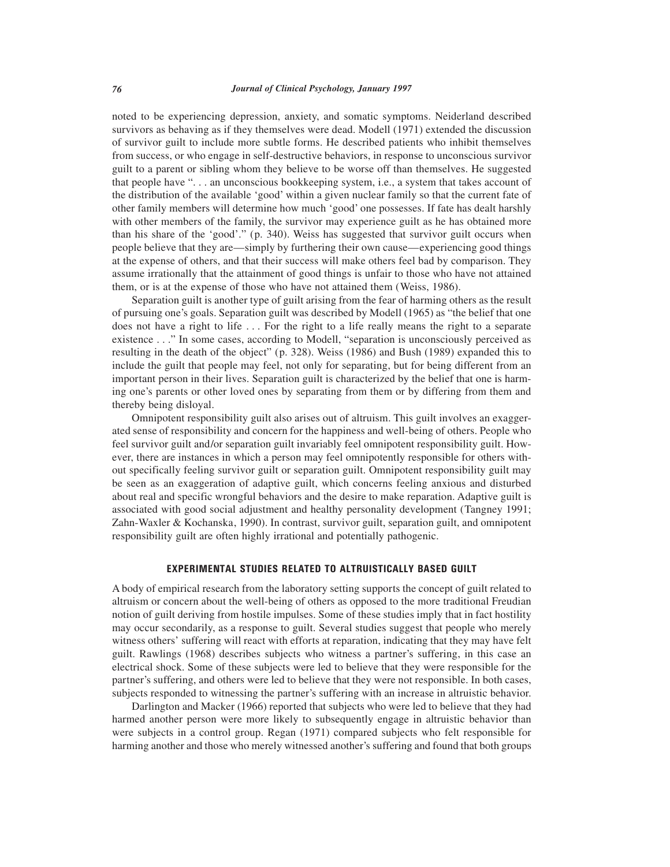noted to be experiencing depression, anxiety, and somatic symptoms. Neiderland described survivors as behaving as if they themselves were dead. Modell (1971) extended the discussion of survivor guilt to include more subtle forms. He described patients who inhibit themselves from success, or who engage in self-destructive behaviors, in response to unconscious survivor guilt to a parent or sibling whom they believe to be worse off than themselves. He suggested that people have ". . . an unconscious bookkeeping system, i.e., a system that takes account of the distribution of the available 'good' within a given nuclear family so that the current fate of other family members will determine how much 'good' one possesses. If fate has dealt harshly with other members of the family, the survivor may experience guilt as he has obtained more than his share of the 'good'." (p. 340). Weiss has suggested that survivor guilt occurs when people believe that they are—simply by furthering their own cause—experiencing good things at the expense of others, and that their success will make others feel bad by comparison. They assume irrationally that the attainment of good things is unfair to those who have not attained them, or is at the expense of those who have not attained them (Weiss, 1986).

Separation guilt is another type of guilt arising from the fear of harming others as the result of pursuing one's goals. Separation guilt was described by Modell (1965) as "the belief that one does not have a right to life . . . For the right to a life really means the right to a separate existence . . ." In some cases, according to Modell, "separation is unconsciously perceived as resulting in the death of the object" (p. 328). Weiss (1986) and Bush (1989) expanded this to include the guilt that people may feel, not only for separating, but for being different from an important person in their lives. Separation guilt is characterized by the belief that one is harming one's parents or other loved ones by separating from them or by differing from them and thereby being disloyal.

Omnipotent responsibility guilt also arises out of altruism. This guilt involves an exaggerated sense of responsibility and concern for the happiness and well-being of others. People who feel survivor guilt and/or separation guilt invariably feel omnipotent responsibility guilt. However, there are instances in which a person may feel omnipotently responsible for others without specifically feeling survivor guilt or separation guilt. Omnipotent responsibility guilt may be seen as an exaggeration of adaptive guilt, which concerns feeling anxious and disturbed about real and specific wrongful behaviors and the desire to make reparation. Adaptive guilt is associated with good social adjustment and healthy personality development (Tangney 1991; Zahn-Waxler & Kochanska, 1990). In contrast, survivor guilt, separation guilt, and omnipotent responsibility guilt are often highly irrational and potentially pathogenic.

## **EXPERIMENTAL STUDIES RELATED TO ALTRUISTICALLY BASED GUILT**

A body of empirical research from the laboratory setting supports the concept of guilt related to altruism or concern about the well-being of others as opposed to the more traditional Freudian notion of guilt deriving from hostile impulses. Some of these studies imply that in fact hostility may occur secondarily, as a response to guilt. Several studies suggest that people who merely witness others' suffering will react with efforts at reparation, indicating that they may have felt guilt. Rawlings (1968) describes subjects who witness a partner's suffering, in this case an electrical shock. Some of these subjects were led to believe that they were responsible for the partner's suffering, and others were led to believe that they were not responsible. In both cases, subjects responded to witnessing the partner's suffering with an increase in altruistic behavior.

Darlington and Macker (1966) reported that subjects who were led to believe that they had harmed another person were more likely to subsequently engage in altruistic behavior than were subjects in a control group. Regan (1971) compared subjects who felt responsible for harming another and those who merely witnessed another's suffering and found that both groups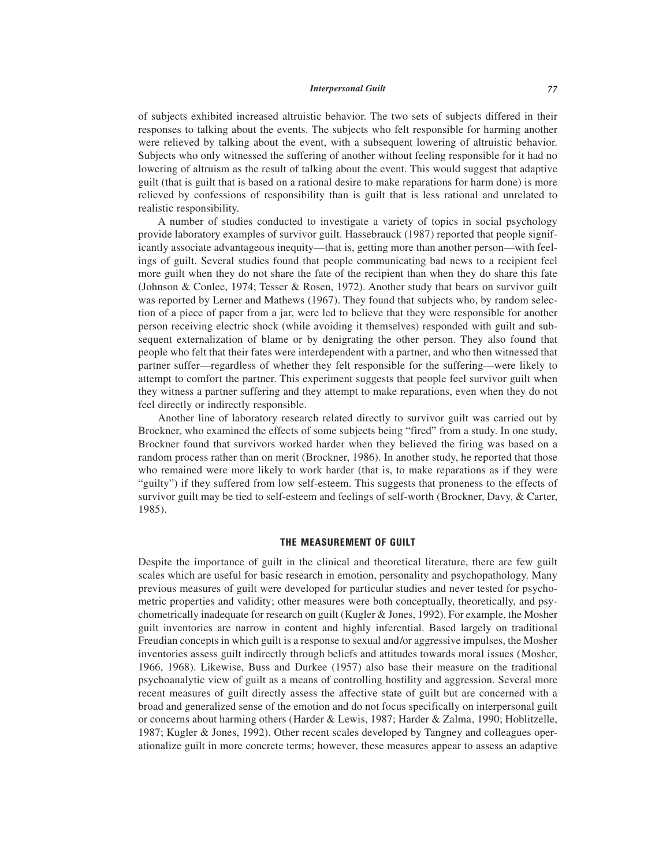#### *Interpersonal Guilt 77*

of subjects exhibited increased altruistic behavior. The two sets of subjects differed in their responses to talking about the events. The subjects who felt responsible for harming another were relieved by talking about the event, with a subsequent lowering of altruistic behavior. Subjects who only witnessed the suffering of another without feeling responsible for it had no lowering of altruism as the result of talking about the event. This would suggest that adaptive guilt (that is guilt that is based on a rational desire to make reparations for harm done) is more relieved by confessions of responsibility than is guilt that is less rational and unrelated to realistic responsibility.

A number of studies conducted to investigate a variety of topics in social psychology provide laboratory examples of survivor guilt. Hassebrauck (1987) reported that people significantly associate advantageous inequity—that is, getting more than another person—with feelings of guilt. Several studies found that people communicating bad news to a recipient feel more guilt when they do not share the fate of the recipient than when they do share this fate (Johnson & Conlee, 1974; Tesser & Rosen, 1972). Another study that bears on survivor guilt was reported by Lerner and Mathews (1967). They found that subjects who, by random selection of a piece of paper from a jar, were led to believe that they were responsible for another person receiving electric shock (while avoiding it themselves) responded with guilt and subsequent externalization of blame or by denigrating the other person. They also found that people who felt that their fates were interdependent with a partner, and who then witnessed that partner suffer—regardless of whether they felt responsible for the suffering—were likely to attempt to comfort the partner. This experiment suggests that people feel survivor guilt when they witness a partner suffering and they attempt to make reparations, even when they do not feel directly or indirectly responsible.

Another line of laboratory research related directly to survivor guilt was carried out by Brockner, who examined the effects of some subjects being "fired" from a study. In one study, Brockner found that survivors worked harder when they believed the firing was based on a random process rather than on merit (Brockner, 1986). In another study, he reported that those who remained were more likely to work harder (that is, to make reparations as if they were "guilty") if they suffered from low self-esteem. This suggests that proneness to the effects of survivor guilt may be tied to self-esteem and feelings of self-worth (Brockner, Davy, & Carter, 1985).

#### **THE MEASUREMENT OF GUILT**

Despite the importance of guilt in the clinical and theoretical literature, there are few guilt scales which are useful for basic research in emotion, personality and psychopathology. Many previous measures of guilt were developed for particular studies and never tested for psychometric properties and validity; other measures were both conceptually, theoretically, and psychometrically inadequate for research on guilt (Kugler & Jones, 1992). For example, the Mosher guilt inventories are narrow in content and highly inferential. Based largely on traditional Freudian concepts in which guilt is a response to sexual and/or aggressive impulses, the Mosher inventories assess guilt indirectly through beliefs and attitudes towards moral issues (Mosher, 1966, 1968). Likewise, Buss and Durkee (1957) also base their measure on the traditional psychoanalytic view of guilt as a means of controlling hostility and aggression. Several more recent measures of guilt directly assess the affective state of guilt but are concerned with a broad and generalized sense of the emotion and do not focus specifically on interpersonal guilt or concerns about harming others (Harder & Lewis, 1987; Harder & Zalma, 1990; Hoblitzelle, 1987; Kugler & Jones, 1992). Other recent scales developed by Tangney and colleagues operationalize guilt in more concrete terms; however, these measures appear to assess an adaptive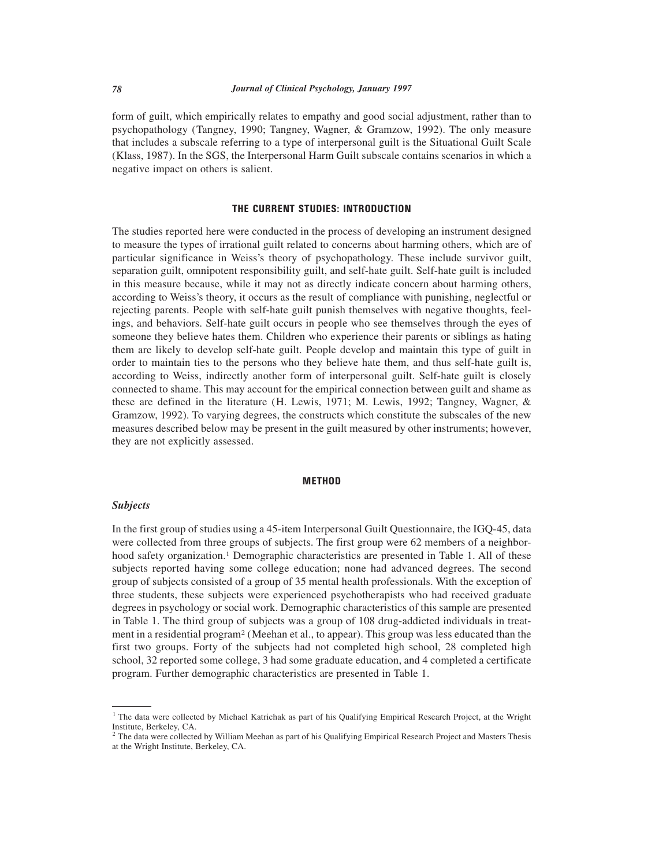form of guilt, which empirically relates to empathy and good social adjustment, rather than to psychopathology (Tangney, 1990; Tangney, Wagner, & Gramzow, 1992). The only measure that includes a subscale referring to a type of interpersonal guilt is the Situational Guilt Scale (Klass, 1987). In the SGS, the Interpersonal Harm Guilt subscale contains scenarios in which a negative impact on others is salient.

### **THE CURRENT STUDIES: INTRODUCTION**

The studies reported here were conducted in the process of developing an instrument designed to measure the types of irrational guilt related to concerns about harming others, which are of particular significance in Weiss's theory of psychopathology. These include survivor guilt, separation guilt, omnipotent responsibility guilt, and self-hate guilt. Self-hate guilt is included in this measure because, while it may not as directly indicate concern about harming others, according to Weiss's theory, it occurs as the result of compliance with punishing, neglectful or rejecting parents. People with self-hate guilt punish themselves with negative thoughts, feelings, and behaviors. Self-hate guilt occurs in people who see themselves through the eyes of someone they believe hates them. Children who experience their parents or siblings as hating them are likely to develop self-hate guilt. People develop and maintain this type of guilt in order to maintain ties to the persons who they believe hate them, and thus self-hate guilt is, according to Weiss, indirectly another form of interpersonal guilt. Self-hate guilt is closely connected to shame. This may account for the empirical connection between guilt and shame as these are defined in the literature (H. Lewis, 1971; M. Lewis, 1992; Tangney, Wagner, & Gramzow, 1992). To varying degrees, the constructs which constitute the subscales of the new measures described below may be present in the guilt measured by other instruments; however, they are not explicitly assessed.

## **METHOD**

## *Subjects*

In the first group of studies using a 45-item Interpersonal Guilt Questionnaire, the IGQ-45, data were collected from three groups of subjects. The first group were 62 members of a neighborhood safety organization.<sup>1</sup> Demographic characteristics are presented in Table 1. All of these subjects reported having some college education; none had advanced degrees. The second group of subjects consisted of a group of 35 mental health professionals. With the exception of three students, these subjects were experienced psychotherapists who had received graduate degrees in psychology or social work. Demographic characteristics of this sample are presented in Table 1. The third group of subjects was a group of 108 drug-addicted individuals in treatment in a residential program2 (Meehan et al., to appear). This group was less educated than the first two groups. Forty of the subjects had not completed high school, 28 completed high school, 32 reported some college, 3 had some graduate education, and 4 completed a certificate program. Further demographic characteristics are presented in Table 1.

<sup>&</sup>lt;sup>1</sup> The data were collected by Michael Katrichak as part of his Qualifying Empirical Research Project, at the Wright Institute, Berkeley, CA.

<sup>&</sup>lt;sup>2</sup> The data were collected by William Meehan as part of his Qualifying Empirical Research Project and Masters Thesis at the Wright Institute, Berkeley, CA.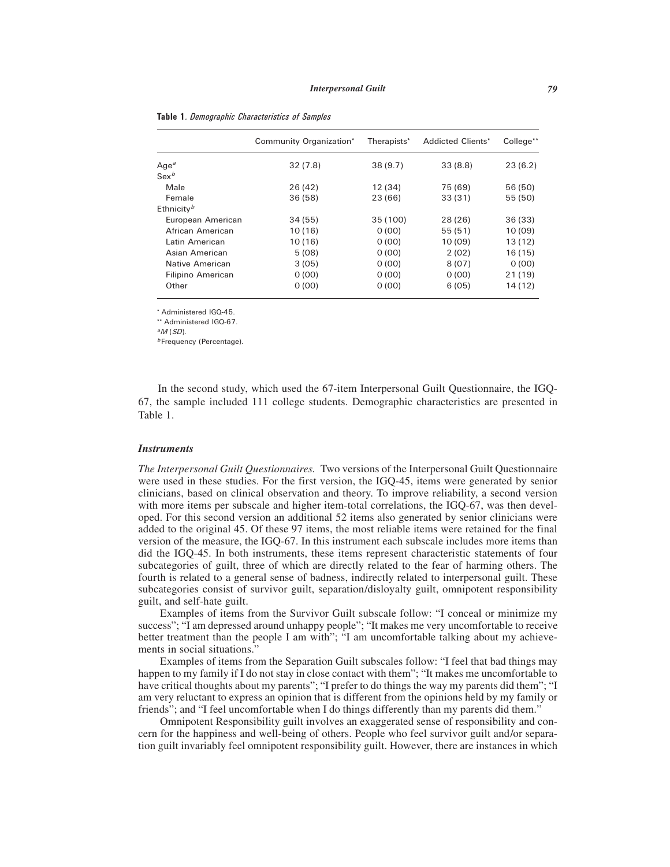|                        | Community Organization* | Therapists* | Addicted Clients* | College** |
|------------------------|-------------------------|-------------|-------------------|-----------|
| Age <sup>a</sup>       | 32(7.8)                 | 38(9.7)     | 33(8.8)           | 23(6.2)   |
| $Sex^b$                |                         |             |                   |           |
| Male                   | 26(42)                  | 12 (34)     | 75 (69)           | 56 (50)   |
| Female                 | 36 (58)                 | 23 (66)     | 33(31)            | 55 (50)   |
| Ethnicity <sup>b</sup> |                         |             |                   |           |
| European American      | 34 (55)                 | 35 (100)    | 28(26)            | 36 (33)   |
| African American       | 10(16)                  | 0(00)       | 55(51)            | 10(09)    |
| Latin American         | 10(16)                  | 0(00)       | 10(09)            | 13(12)    |
| Asian American         | 5(08)                   | 0(00)       | 2(02)             | 16 (15)   |
| Native American        | 3(05)                   | 0(00)       | 8(07)             | 0(00)     |
| Filipino American      | 0(00)                   | 0(00)       | 0(00)             | 21(19)    |
| Other                  | 0(00)                   | 0(00)       | 6(05)             | 14(12)    |

|  |  |  | Table 1. Demographic Characteristics of Samples |  |  |
|--|--|--|-------------------------------------------------|--|--|
|--|--|--|-------------------------------------------------|--|--|

\* Administered IGQ-45.

\*\* Administered IGQ-67.

*a M* (*SD*).

*<sup>b</sup>* Frequency (Percentage).

In the second study, which used the 67-item Interpersonal Guilt Questionnaire, the IGQ-67, the sample included 111 college students. Demographic characteristics are presented in Table 1.

## *Instruments*

*The Interpersonal Guilt Questionnaires.* Two versions of the Interpersonal Guilt Questionnaire were used in these studies. For the first version, the IGQ-45, items were generated by senior clinicians, based on clinical observation and theory. To improve reliability, a second version with more items per subscale and higher item-total correlations, the IGQ-67, was then developed. For this second version an additional 52 items also generated by senior clinicians were added to the original 45. Of these 97 items, the most reliable items were retained for the final version of the measure, the IGQ-67. In this instrument each subscale includes more items than did the IGQ-45. In both instruments, these items represent characteristic statements of four subcategories of guilt, three of which are directly related to the fear of harming others. The fourth is related to a general sense of badness, indirectly related to interpersonal guilt. These subcategories consist of survivor guilt, separation/disloyalty guilt, omnipotent responsibility guilt, and self-hate guilt.

Examples of items from the Survivor Guilt subscale follow: "I conceal or minimize my success"; "I am depressed around unhappy people"; "It makes me very uncomfortable to receive better treatment than the people I am with"; "I am uncomfortable talking about my achievements in social situations."

Examples of items from the Separation Guilt subscales follow: "I feel that bad things may happen to my family if I do not stay in close contact with them"; "It makes me uncomfortable to have critical thoughts about my parents"; "I prefer to do things the way my parents did them"; "I am very reluctant to express an opinion that is different from the opinions held by my family or friends"; and "I feel uncomfortable when I do things differently than my parents did them."

Omnipotent Responsibility guilt involves an exaggerated sense of responsibility and concern for the happiness and well-being of others. People who feel survivor guilt and/or separation guilt invariably feel omnipotent responsibility guilt. However, there are instances in which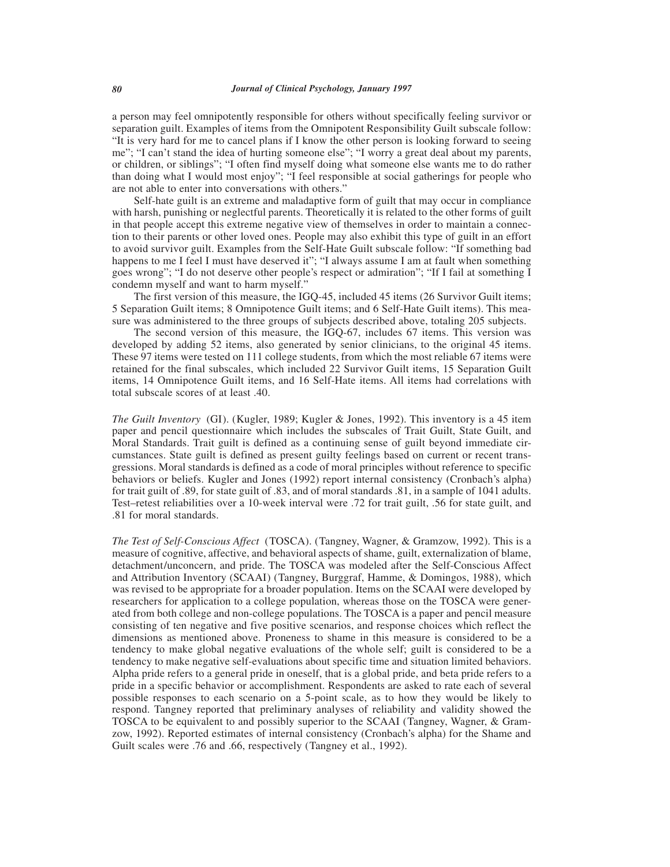a person may feel omnipotently responsible for others without specifically feeling survivor or separation guilt. Examples of items from the Omnipotent Responsibility Guilt subscale follow: "It is very hard for me to cancel plans if I know the other person is looking forward to seeing me"; "I can't stand the idea of hurting someone else"; "I worry a great deal about my parents, or children, or siblings"; "I often find myself doing what someone else wants me to do rather than doing what I would most enjoy"; "I feel responsible at social gatherings for people who are not able to enter into conversations with others."

Self-hate guilt is an extreme and maladaptive form of guilt that may occur in compliance with harsh, punishing or neglectful parents. Theoretically it is related to the other forms of guilt in that people accept this extreme negative view of themselves in order to maintain a connection to their parents or other loved ones. People may also exhibit this type of guilt in an effort to avoid survivor guilt. Examples from the Self-Hate Guilt subscale follow: "If something bad happens to me I feel I must have deserved it"; "I always assume I am at fault when something goes wrong"; "I do not deserve other people's respect or admiration"; "If I fail at something I condemn myself and want to harm myself."

The first version of this measure, the IGQ-45, included 45 items (26 Survivor Guilt items; 5 Separation Guilt items; 8 Omnipotence Guilt items; and 6 Self-Hate Guilt items). This measure was administered to the three groups of subjects described above, totaling 205 subjects.

The second version of this measure, the IGQ-67, includes 67 items. This version was developed by adding 52 items, also generated by senior clinicians, to the original 45 items. These 97 items were tested on 111 college students, from which the most reliable 67 items were retained for the final subscales, which included 22 Survivor Guilt items, 15 Separation Guilt items, 14 Omnipotence Guilt items, and 16 Self-Hate items. All items had correlations with total subscale scores of at least .40.

*The Guilt Inventory* (GI). (Kugler, 1989; Kugler & Jones, 1992). This inventory is a 45 item paper and pencil questionnaire which includes the subscales of Trait Guilt, State Guilt, and Moral Standards. Trait guilt is defined as a continuing sense of guilt beyond immediate circumstances. State guilt is defined as present guilty feelings based on current or recent transgressions. Moral standards is defined as a code of moral principles without reference to specific behaviors or beliefs. Kugler and Jones (1992) report internal consistency (Cronbach's alpha) for trait guilt of .89, for state guilt of .83, and of moral standards .81, in a sample of 1041 adults. Test–retest reliabilities over a 10-week interval were .72 for trait guilt, .56 for state guilt, and .81 for moral standards.

*The Test of Self-Conscious Affect* (TOSCA). (Tangney, Wagner, & Gramzow, 1992). This is a measure of cognitive, affective, and behavioral aspects of shame, guilt, externalization of blame, detachment/unconcern, and pride. The TOSCA was modeled after the Self-Conscious Affect and Attribution Inventory (SCAAI) (Tangney, Burggraf, Hamme, & Domingos, 1988), which was revised to be appropriate for a broader population. Items on the SCAAI were developed by researchers for application to a college population, whereas those on the TOSCA were generated from both college and non-college populations. The TOSCA is a paper and pencil measure consisting of ten negative and five positive scenarios, and response choices which reflect the dimensions as mentioned above. Proneness to shame in this measure is considered to be a tendency to make global negative evaluations of the whole self; guilt is considered to be a tendency to make negative self-evaluations about specific time and situation limited behaviors. Alpha pride refers to a general pride in oneself, that is a global pride, and beta pride refers to a pride in a specific behavior or accomplishment. Respondents are asked to rate each of several possible responses to each scenario on a 5-point scale, as to how they would be likely to respond. Tangney reported that preliminary analyses of reliability and validity showed the TOSCA to be equivalent to and possibly superior to the SCAAI (Tangney, Wagner, & Gramzow, 1992). Reported estimates of internal consistency (Cronbach's alpha) for the Shame and Guilt scales were .76 and .66, respectively (Tangney et al., 1992).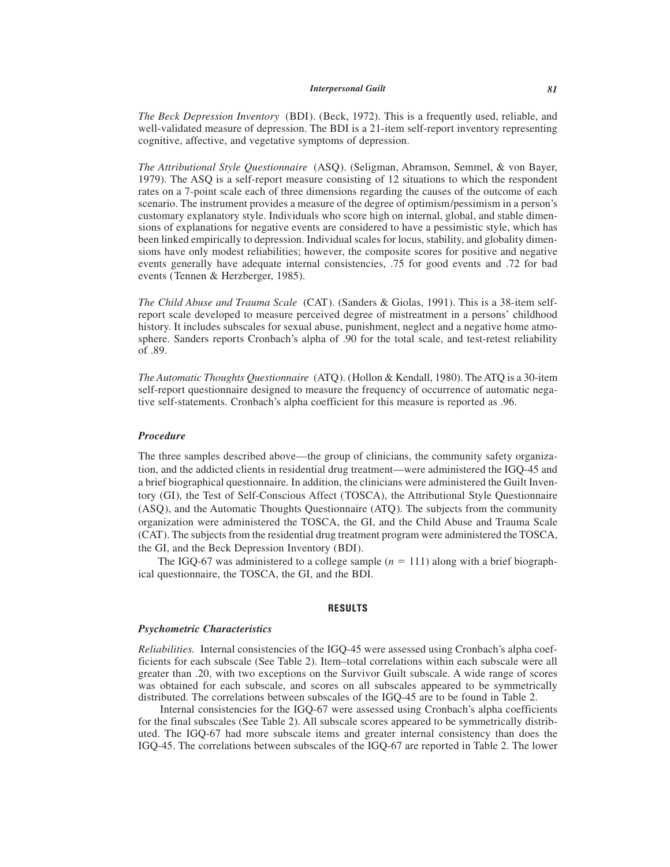#### *Interpersonal Guilt 81*

*The Beck Depression Inventory* (BDI). (Beck, 1972). This is a frequently used, reliable, and well-validated measure of depression. The BDI is a 21-item self-report inventory representing cognitive, affective, and vegetative symptoms of depression.

*The Attributional Style Questionnaire* (ASQ). (Seligman, Abramson, Semmel, & von Bayer, 1979). The ASQ is a self-report measure consisting of 12 situations to which the respondent rates on a 7-point scale each of three dimensions regarding the causes of the outcome of each scenario. The instrument provides a measure of the degree of optimism/pessimism in a person's customary explanatory style. Individuals who score high on internal, global, and stable dimensions of explanations for negative events are considered to have a pessimistic style, which has been linked empirically to depression. Individual scales for locus, stability, and globality dimensions have only modest reliabilities; however, the composite scores for positive and negative events generally have adequate internal consistencies, .75 for good events and .72 for bad events (Tennen & Herzberger, 1985).

*The Child Abuse and Trauma Scale* (CAT). (Sanders & Giolas, 1991). This is a 38-item selfreport scale developed to measure perceived degree of mistreatment in a persons' childhood history. It includes subscales for sexual abuse, punishment, neglect and a negative home atmosphere. Sanders reports Cronbach's alpha of .90 for the total scale, and test-retest reliability of .89.

*The Automatic Thoughts Questionnaire* (ATQ). (Hollon & Kendall, 1980). The ATQ is a 30-item self-report questionnaire designed to measure the frequency of occurrence of automatic negative self-statements. Cronbach's alpha coefficient for this measure is reported as .96.

## *Procedure*

The three samples described above—the group of clinicians, the community safety organization, and the addicted clients in residential drug treatment—were administered the IGQ-45 and a brief biographical questionnaire. In addition, the clinicians were administered the Guilt Inventory (GI), the Test of Self-Conscious Affect (TOSCA), the Attributional Style Questionnaire (ASQ), and the Automatic Thoughts Questionnaire (ATQ). The subjects from the community organization were administered the TOSCA, the GI, and the Child Abuse and Trauma Scale (CAT). The subjects from the residential drug treatment program were administered the TOSCA, the GI, and the Beck Depression Inventory (BDI).

The IGQ-67 was administered to a college sample  $(n = 111)$  along with a brief biographical questionnaire, the TOSCA, the GI, and the BDI.

## **RESULTS**

#### *Psychometric Characteristics*

*Reliabilities.* Internal consistencies of the IGQ-45 were assessed using Cronbach's alpha coefficients for each subscale (See Table 2). Item–total correlations within each subscale were all greater than .20, with two exceptions on the Survivor Guilt subscale. A wide range of scores was obtained for each subscale, and scores on all subscales appeared to be symmetrically distributed. The correlations between subscales of the IGQ-45 are to be found in Table 2.

Internal consistencies for the IGQ-67 were assessed using Cronbach's alpha coefficients for the final subscales (See Table 2). All subscale scores appeared to be symmetrically distributed. The IGQ-67 had more subscale items and greater internal consistency than does the IGQ-45. The correlations between subscales of the IGQ-67 are reported in Table 2. The lower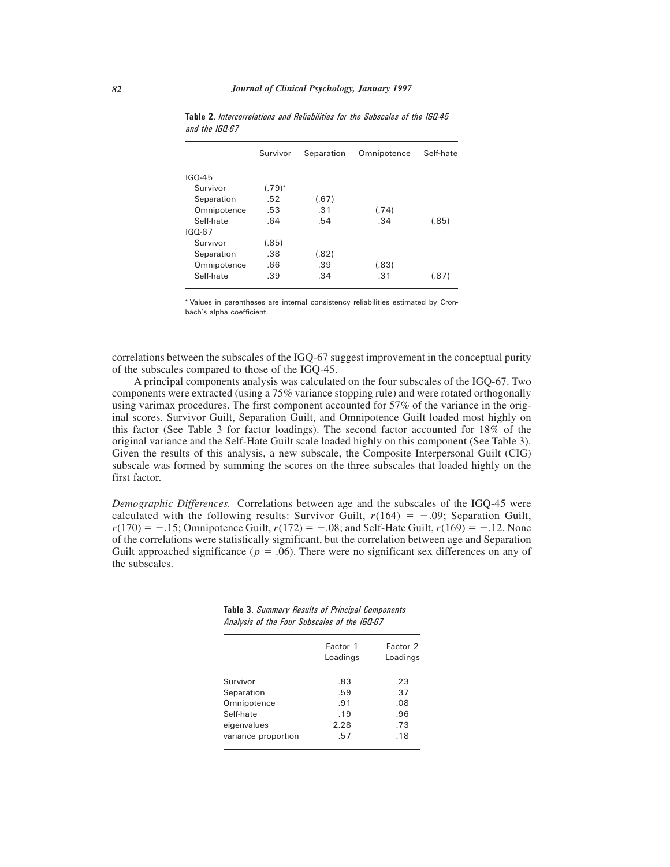|             | Survivor  | Separation | Omnipotence | Self-hate |
|-------------|-----------|------------|-------------|-----------|
| IGO-45      |           |            |             |           |
| Survivor    | $(.79)^*$ |            |             |           |
| Separation  | .52       | (.67)      |             |           |
| Omnipotence | .53       | .31        | (.74)       |           |
| Self-hate   | .64       | .54        | .34         | (.85)     |
| IGO-67      |           |            |             |           |
| Survivor    | (.85)     |            |             |           |
| Separation  | .38       | (.82)      |             |           |
| Omnipotence | .66       | .39        | (.83)       |           |
| Self-hate   | .39       | .34        | .31         | (.87)     |

**Table 2***. Intercorrelations and Reliabilities for the Subscales of the IGQ-45 and the IGQ-67*

\* Values in parentheses are internal consistency reliabilities estimated by Cronbach's alpha coefficient.

correlations between the subscales of the IGQ-67 suggest improvement in the conceptual purity of the subscales compared to those of the IGQ-45.

A principal components analysis was calculated on the four subscales of the IGQ-67. Two components were extracted (using a 75% variance stopping rule) and were rotated orthogonally using varimax procedures. The first component accounted for 57% of the variance in the original scores. Survivor Guilt, Separation Guilt, and Omnipotence Guilt loaded most highly on this factor (See Table 3 for factor loadings). The second factor accounted for 18% of the original variance and the Self-Hate Guilt scale loaded highly on this component (See Table 3). Given the results of this analysis, a new subscale, the Composite Interpersonal Guilt (CIG) subscale was formed by summing the scores on the three subscales that loaded highly on the first factor.

*Demographic Differences.* Correlations between age and the subscales of the IGQ-45 were calculated with the following results: Survivor Guilt,  $r(164) = -.09$ ; Separation Guilt,  $r(170) = -.15$ ; Omnipotence Guilt,  $r(172) = -.08$ ; and Self-Hate Guilt,  $r(169) = -.12$ . None of the correlations were statistically significant, but the correlation between age and Separation Guilt approached significance ( $p = .06$ ). There were no significant sex differences on any of the subscales.

|                     | Factor 1<br>Loadings | Factor 2<br>Loadings |
|---------------------|----------------------|----------------------|
| Survivor            | .83                  | -23                  |
| Separation          | .59                  | .37                  |
| Omnipotence         | -91                  | .08                  |
| Self-hate           | .19                  | .96                  |
| eigenvalues         | 2.28                 | .73                  |
| variance proportion | .57                  | .18                  |

**Table 3***. Summary Results of Principal Components Analysis of the Four Subscales of the IGQ-67*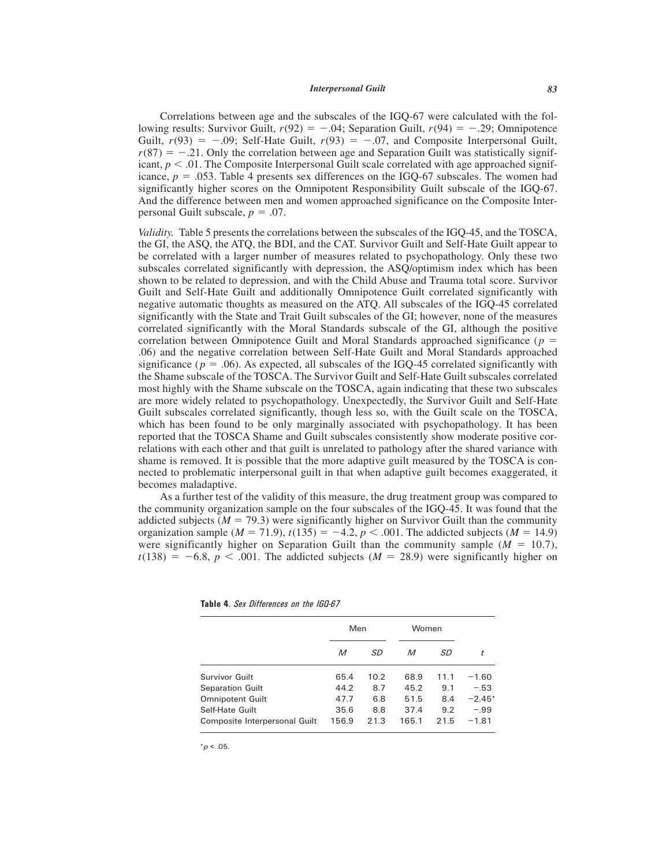Correlations between age and the subscales of the IGQ-67 were calculated with the following results: Survivor Guilt,  $r(92) = -.04$ ; Separation Guilt,  $r(94) = -.29$ ; Omnipotence Guilt,  $r(93) = -.09$ ; Self-Hate Guilt,  $r(93) = -.07$ , and Composite Interpersonal Guilt,  $r(87) = -.21$ . Only the correlation between age and Separation Guilt was statistically significant,  $p < .01$ . The Composite Interpersonal Guilt scale correlated with age approached significance,  $p = 0.053$ . Table 4 presents sex differences on the IGO-67 subscales. The women had significantly higher scores on the Omnipotent Responsibility Guilt subscale of the IGQ-67. And the difference between men and women approached significance on the Composite Interpersonal Guilt subscale,  $p = .07$ .

*Validity.* Table 5 presents the correlations between the subscales of the IGQ-45, and the TOSCA, the GI, the ASQ, the ATQ, the BDI, and the CAT. Survivor Guilt and Self-Hate Guilt appear to be correlated with a larger number of measures related to psychopathology. Only these two subscales correlated significantly with depression, the ASQ/optimism index which has been shown to be related to depression, and with the Child Abuse and Trauma total score. Survivor Guilt and Self-Hate Guilt and additionally Omnipotence Guilt correlated significantly with negative automatic thoughts as measured on the ATQ. All subscales of the IGQ-45 correlated significantly with the State and Trait Guilt subscales of the GI; however, none of the measures correlated significantly with the Moral Standards subscale of the GI, although the positive correlation between Omnipotence Guilt and Moral Standards approached significance ( $p =$ .06) and the negative correlation between Self-Hate Guilt and Moral Standards approached significance ( $p = .06$ ). As expected, all subscales of the IGQ-45 correlated significantly with the Shame subscale of the TOSCA. The Survivor Guilt and Self-Hate Guilt subscales correlated most highly with the Shame subscale on the TOSCA, again indicating that these two subscales are more widely related to psychopathology. Unexpectedly, the Survivor Guilt and Self-Hate Guilt subscales correlated significantly, though less so, with the Guilt scale on the TOSCA, which has been found to be only marginally associated with psychopathology. It has been reported that the TOSCA Shame and Guilt subscales consistently show moderate positive correlations with each other and that guilt is unrelated to pathology after the shared variance with shame is removed. It is possible that the more adaptive guilt measured by the TOSCA is connected to problematic interpersonal guilt in that when adaptive guilt becomes exaggerated, it becomes maladaptive.

As a further test of the validity of this measure, the drug treatment group was compared to the community organization sample on the four subscales of the IGQ-45. It was found that the addicted subjects ( $M = 79.3$ ) were significantly higher on Survivor Guilt than the community organization sample ( $M = 71.9$ ),  $t(135) = -4.2$ ,  $p < .001$ . The addicted subjects ( $M = 14.9$ ) were significantly higher on Separation Guilt than the community sample  $(M = 10.7)$ ,  $t(138) = -6.8$ ,  $p < .001$ . The addicted subjects (*M* = 28.9) were significantly higher on

|                               | Men   |      | Women |      |          |
|-------------------------------|-------|------|-------|------|----------|
|                               | M     | SD   | M     | SD   |          |
| Survivor Guilt                | 65.4  | 10.2 | 68.9  | 11.1 | $-1.60$  |
| <b>Separation Guilt</b>       | 44.2  | 8.7  | 45.2  | 9.1  | $-.53$   |
| <b>Omnipotent Guilt</b>       | 47.7  | 6.8  | 51.5  | 8.4  | $-2.45*$ |
| Self-Hate Guilt               | 35.6  | 8.8  | 37.4  | 9.2  | $-.99$   |
| Composite Interpersonal Guilt | 156.9 | 21.3 | 165.1 | 21.5 | $-1.81$  |

|  |  | Table 4. Sex Differences on the IGQ-67 |  |  |  |
|--|--|----------------------------------------|--|--|--|
|--|--|----------------------------------------|--|--|--|

 $*_{p}$  < .05.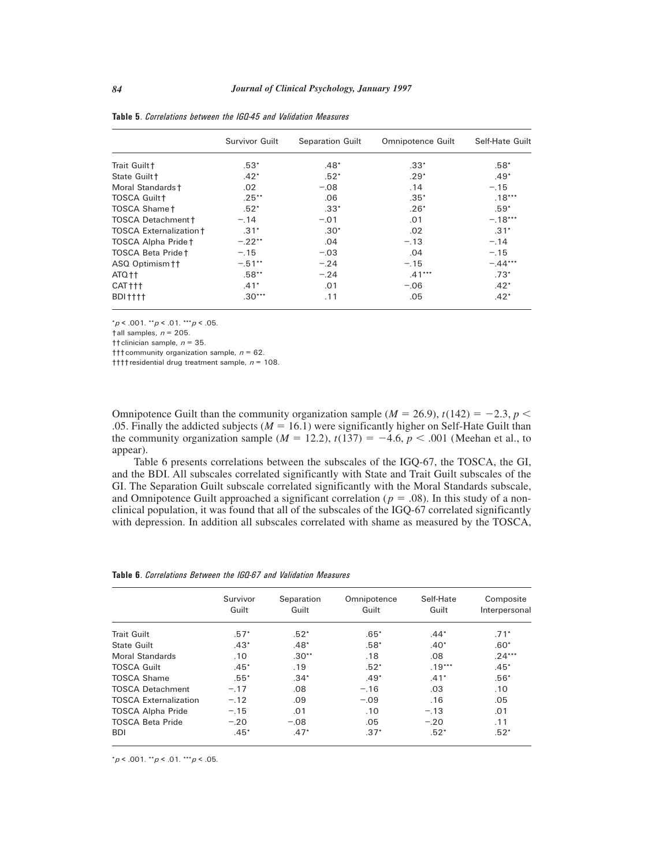|                                | Survivor Guilt | <b>Separation Guilt</b> | Omnipotence Guilt | Self-Hate Guilt |
|--------------------------------|----------------|-------------------------|-------------------|-----------------|
| Trait Guilt †                  | $.53*$         | $.48*$                  | $.33*$            | $.58*$          |
| State Guilt+                   | $.42*$         | $.52*$                  | $.29*$            | $.49*$          |
| Moral Standards †              | .02            | $-.08$                  | .14               | $-.15$          |
| <b>TOSCA Guilt +</b>           | $.25**$        | .06                     | $.35*$            | $.18***$        |
| TOSCA Shame t                  | $.52*$         | $.33*$                  | $.26*$            | $.59*$          |
| TOSCA Detachment †             | $-.14$         | $-.01$                  | .01               | $-.18***$       |
| <b>TOSCA Externalization †</b> | $.31*$         | $.30*$                  | .02               | $.31*$          |
| TOSCA Alpha Pride t            | $-.22**$       | .04                     | $-.13$            | $-.14$          |
| <b>TOSCA Beta Pride t</b>      | $-.15$         | $-.03$                  | .04               | $-.15$          |
| ASQ Optimism † †               | $-.51**$       | $-.24$                  | $-.15$            | $-.44***$       |
| ATQ ++                         | $.58**$        | $-.24$                  | $.41***$          | $.73*$          |
| CAT <sub>tt</sub>              | $.41*$         | .01                     | $-.06$            | $.42*$          |
| BDI <sub>††††</sub>            | $.30***$       | .11                     | .05               | $.42*$          |

**Table 5***. Correlations between the IGQ-45 and Validation Measures*

\**p* < .001. \*\**p* < .01. \*\*\**p* < .05.

 $\dagger$ all samples,  $n = 205$ .

††clinician sample, *n* = 35.

†††community organization sample, *n* = 62.

††††residential drug treatment sample, *n* = 108.

Omnipotence Guilt than the community organization sample ( $M = 26.9$ ),  $t(142) = -2.3$ ,  $p <$ .05. Finally the addicted subjects ( $M = 16.1$ ) were significantly higher on Self-Hate Guilt than the community organization sample ( $M = 12.2$ ),  $t(137) = -4.6$ ,  $p < .001$  (Meehan et al., to appear).

Table 6 presents correlations between the subscales of the IGQ-67, the TOSCA, the GI, and the BDI. All subscales correlated significantly with State and Trait Guilt subscales of the GI. The Separation Guilt subscale correlated significantly with the Moral Standards subscale, and Omnipotence Guilt approached a significant correlation ( $p = .08$ ). In this study of a nonclinical population, it was found that all of the subscales of the IGQ-67 correlated significantly with depression. In addition all subscales correlated with shame as measured by the TOSCA,

| Table 6. Correlations Between the IGQ-67 and Validation Measures |  |
|------------------------------------------------------------------|--|
|------------------------------------------------------------------|--|

|                              | Survivor<br>Guilt | Separation<br>Guilt | Omnipotence<br>Guilt | Self-Hate<br>Guilt | Composite<br>Interpersonal |
|------------------------------|-------------------|---------------------|----------------------|--------------------|----------------------------|
| <b>Trait Guilt</b>           | $.57*$            | $.52*$              | $.65*$               | $.44*$             | $.71*$                     |
| State Guilt                  | $.43*$            | $.48*$              | $.58*$               | $.40*$             | $.60*$                     |
| Moral Standards              | .10               | $.30**$             | .18                  | .08                | $.24***$                   |
| <b>TOSCA Guilt</b>           | $.45*$            | .19                 | $.52*$               | $.19***$           | $.45*$                     |
| <b>TOSCA Shame</b>           | $.55*$            | $.34*$              | $.49*$               | $.41*$             | $.56*$                     |
| <b>TOSCA Detachment</b>      | $-.17$            | .08                 | $-.16$               | .03                | .10                        |
| <b>TOSCA Externalization</b> | $-.12$            | .09                 | $-.09$               | .16                | .05                        |
| <b>TOSCA Alpha Pride</b>     | $-.15$            | .01                 | .10                  | $-.13$             | .01                        |
| <b>TOSCA Beta Pride</b>      | $-.20$            | $-.08$              | .05                  | $-.20$             | .11                        |
| <b>BDI</b>                   | $.45*$            | $.47*$              | $.37*$               | $.52*$             | $.52*$                     |

\**p* < .001. \*\**p* < .01. \*\*\**p* < .05.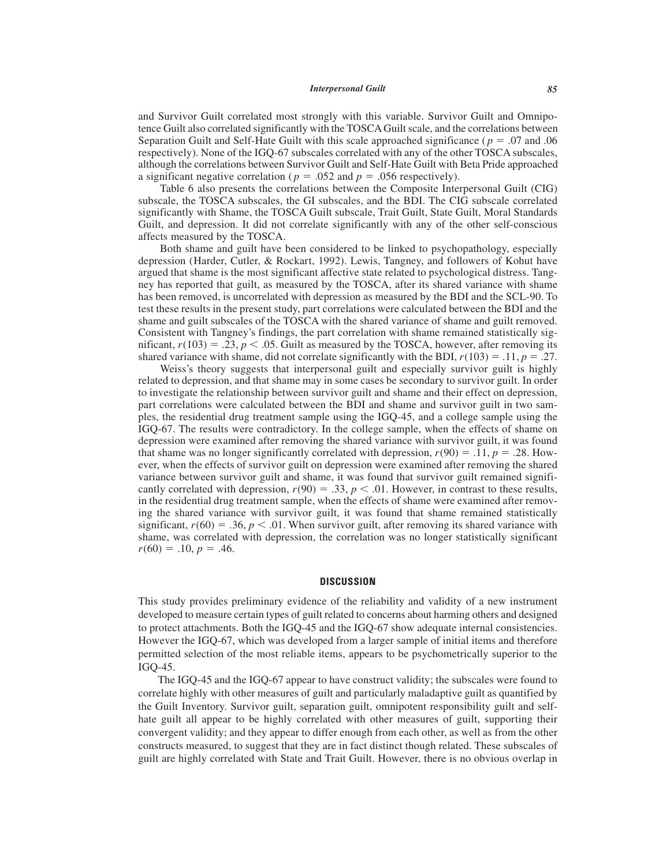and Survivor Guilt correlated most strongly with this variable. Survivor Guilt and Omnipotence Guilt also correlated significantly with the TOSCA Guilt scale, and the correlations between Separation Guilt and Self-Hate Guilt with this scale approached significance ( $p = .07$  and .06 respectively). None of the IGQ-67 subscales correlated with any of the other TOSCA subscales, although the correlations between Survivor Guilt and Self-Hate Guilt with Beta Pride approached a significant negative correlation ( $p = .052$  and  $p = .056$  respectively).

Table 6 also presents the correlations between the Composite Interpersonal Guilt (CIG) subscale, the TOSCA subscales, the GI subscales, and the BDI. The CIG subscale correlated significantly with Shame, the TOSCA Guilt subscale, Trait Guilt, State Guilt, Moral Standards Guilt, and depression. It did not correlate significantly with any of the other self-conscious affects measured by the TOSCA.

Both shame and guilt have been considered to be linked to psychopathology, especially depression (Harder, Cutler, & Rockart, 1992). Lewis, Tangney, and followers of Kohut have argued that shame is the most significant affective state related to psychological distress. Tangney has reported that guilt, as measured by the TOSCA, after its shared variance with shame has been removed, is uncorrelated with depression as measured by the BDI and the SCL-90. To test these results in the present study, part correlations were calculated between the BDI and the shame and guilt subscales of the TOSCA with the shared variance of shame and guilt removed. Consistent with Tangney's findings, the part correlation with shame remained statistically significant,  $r(103) = .23$ ,  $p < .05$ . Guilt as measured by the TOSCA, however, after removing its shared variance with shame, did not correlate significantly with the BDI,  $r(103) = .11$ ,  $p = .27$ .

Weiss's theory suggests that interpersonal guilt and especially survivor guilt is highly related to depression, and that shame may in some cases be secondary to survivor guilt. In order to investigate the relationship between survivor guilt and shame and their effect on depression, part correlations were calculated between the BDI and shame and survivor guilt in two samples, the residential drug treatment sample using the IGQ-45, and a college sample using the IGQ-67. The results were contradictory. In the college sample, when the effects of shame on depression were examined after removing the shared variance with survivor guilt, it was found that shame was no longer significantly correlated with depression,  $r(90) = .11$ ,  $p = .28$ . However, when the effects of survivor guilt on depression were examined after removing the shared variance between survivor guilt and shame, it was found that survivor guilt remained significantly correlated with depression,  $r(90) = .33$ ,  $p < .01$ . However, in contrast to these results, in the residential drug treatment sample, when the effects of shame were examined after removing the shared variance with survivor guilt, it was found that shame remained statistically significant,  $r(60) = .36$ ,  $p < .01$ . When survivor guilt, after removing its shared variance with shame, was correlated with depression, the correlation was no longer statistically significant  $r(60) = .10, p = .46.$ 

#### **DISCUSSION**

This study provides preliminary evidence of the reliability and validity of a new instrument developed to measure certain types of guilt related to concerns about harming others and designed to protect attachments. Both the IGQ-45 and the IGQ-67 show adequate internal consistencies. However the IGQ-67, which was developed from a larger sample of initial items and therefore permitted selection of the most reliable items, appears to be psychometrically superior to the IGQ-45.

The IGQ-45 and the IGQ-67 appear to have construct validity; the subscales were found to correlate highly with other measures of guilt and particularly maladaptive guilt as quantified by the Guilt Inventory. Survivor guilt, separation guilt, omnipotent responsibility guilt and selfhate guilt all appear to be highly correlated with other measures of guilt, supporting their convergent validity; and they appear to differ enough from each other, as well as from the other constructs measured, to suggest that they are in fact distinct though related. These subscales of guilt are highly correlated with State and Trait Guilt. However, there is no obvious overlap in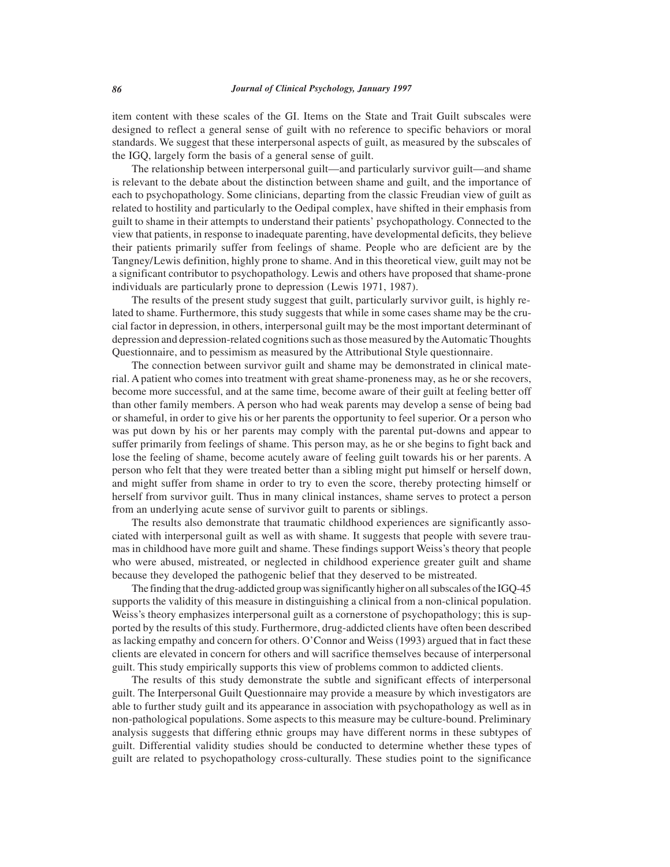item content with these scales of the GI. Items on the State and Trait Guilt subscales were designed to reflect a general sense of guilt with no reference to specific behaviors or moral standards. We suggest that these interpersonal aspects of guilt, as measured by the subscales of the IGQ, largely form the basis of a general sense of guilt.

The relationship between interpersonal guilt—and particularly survivor guilt—and shame is relevant to the debate about the distinction between shame and guilt, and the importance of each to psychopathology. Some clinicians, departing from the classic Freudian view of guilt as related to hostility and particularly to the Oedipal complex, have shifted in their emphasis from guilt to shame in their attempts to understand their patients' psychopathology. Connected to the view that patients, in response to inadequate parenting, have developmental deficits, they believe their patients primarily suffer from feelings of shame. People who are deficient are by the Tangney/Lewis definition, highly prone to shame. And in this theoretical view, guilt may not be a significant contributor to psychopathology. Lewis and others have proposed that shame-prone individuals are particularly prone to depression (Lewis 1971, 1987).

The results of the present study suggest that guilt, particularly survivor guilt, is highly related to shame. Furthermore, this study suggests that while in some cases shame may be the crucial factor in depression, in others, interpersonal guilt may be the most important determinant of depression and depression-related cognitions such as those measured by the Automatic Thoughts Questionnaire, and to pessimism as measured by the Attributional Style questionnaire.

The connection between survivor guilt and shame may be demonstrated in clinical material. A patient who comes into treatment with great shame-proneness may, as he or she recovers, become more successful, and at the same time, become aware of their guilt at feeling better off than other family members. A person who had weak parents may develop a sense of being bad or shameful, in order to give his or her parents the opportunity to feel superior. Or a person who was put down by his or her parents may comply with the parental put-downs and appear to suffer primarily from feelings of shame. This person may, as he or she begins to fight back and lose the feeling of shame, become acutely aware of feeling guilt towards his or her parents. A person who felt that they were treated better than a sibling might put himself or herself down, and might suffer from shame in order to try to even the score, thereby protecting himself or herself from survivor guilt. Thus in many clinical instances, shame serves to protect a person from an underlying acute sense of survivor guilt to parents or siblings.

The results also demonstrate that traumatic childhood experiences are significantly associated with interpersonal guilt as well as with shame. It suggests that people with severe traumas in childhood have more guilt and shame. These findings support Weiss's theory that people who were abused, mistreated, or neglected in childhood experience greater guilt and shame because they developed the pathogenic belief that they deserved to be mistreated.

The finding that the drug-addicted group was significantly higher on all subscales of the IGQ-45 supports the validity of this measure in distinguishing a clinical from a non-clinical population. Weiss's theory emphasizes interpersonal guilt as a cornerstone of psychopathology; this is supported by the results of this study. Furthermore, drug-addicted clients have often been described as lacking empathy and concern for others. O'Connor and Weiss (1993) argued that in fact these clients are elevated in concern for others and will sacrifice themselves because of interpersonal guilt. This study empirically supports this view of problems common to addicted clients.

The results of this study demonstrate the subtle and significant effects of interpersonal guilt. The Interpersonal Guilt Questionnaire may provide a measure by which investigators are able to further study guilt and its appearance in association with psychopathology as well as in non-pathological populations. Some aspects to this measure may be culture-bound. Preliminary analysis suggests that differing ethnic groups may have different norms in these subtypes of guilt. Differential validity studies should be conducted to determine whether these types of guilt are related to psychopathology cross-culturally. These studies point to the significance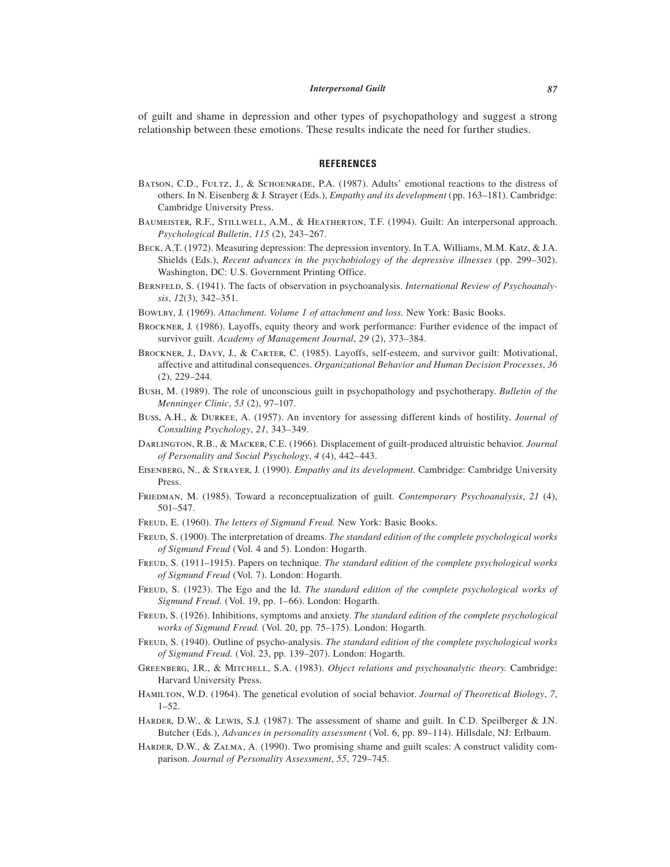of guilt and shame in depression and other types of psychopathology and suggest a strong relationship between these emotions. These results indicate the need for further studies.

#### **REFERENCES**

- BATSON, C.D., FULTZ, J., & SCHOENRADE, P.A. (1987). Adults' emotional reactions to the distress of others. In N. Eisenberg & J. Strayer (Eds.), *Empathy and its development* (pp. 163–181). Cambridge: Cambridge University Press.
- Baumeister, R.F., Stillwell, A.M., & Heatherton, T.F. (1994). Guilt: An interpersonal approach. *Psychological Bulletin*, *115* (2), 243–267.
- Beck, A.T. (1972). Measuring depression: The depression inventory. In T.A. Williams, M.M. Katz, & J.A. Shields (Eds.), *Recent advances in the psychobiology of the depressive illnesses* (pp. 299–302). Washington, DC: U.S. Government Printing Office.
- Bernfeld, S. (1941). The facts of observation in psychoanalysis. *International Review of Psychoanalysis*, *12*(3), 342–351.
- Bowlby, J. (1969). *Attachment. Volume 1 of attachment and loss.* New York: Basic Books.
- Brockner, J. (1986). Layoffs, equity theory and work performance: Further evidence of the impact of survivor guilt. *Academy of Management Journal*, *29* (2), 373–384.
- Brockner, J., Davy, J., & Carter, C. (1985). Layoffs, self-esteem, and survivor guilt: Motivational, affective and attitudinal consequences. *Organizational Behavior and Human Decision Processes*, *36* (2), 229–244.
- Bush, M. (1989). The role of unconscious guilt in psychopathology and psychotherapy. *Bulletin of the Menninger Clinic*, *53* (2), 97–107.
- Buss, A.H., & Durkee, A. (1957). An inventory for assessing different kinds of hostility. *Journal of Consulting Psychology*, *21*, 343–349.
- Darlington, R.B., & Macker, C.E. (1966). Displacement of guilt-produced altruistic behavior. *Journal of Personality and Social Psychology*, *4* (4), 442–443.
- Eisenberg, N., & Strayer, J. (1990). *Empathy and its development.* Cambridge: Cambridge University Press.
- Friedman, M. (1985). Toward a reconceptualization of guilt. *Contemporary Psychoanalysis*, *21* (4), 501–547.
- Freud, E. (1960). *The letters of Sigmund Freud.* New York: Basic Books.
- FREUD, S. (1900). The interpretation of dreams. *The standard edition of the complete psychological works of Sigmund Freud* (Vol. 4 and 5). London: Hogarth.
- FREUD, S. (1911–1915). Papers on technique. *The standard edition of the complete psychological works of Sigmund Freud* (Vol. 7). London: Hogarth.
- FREUD, S. (1923). The Ego and the Id. *The standard edition of the complete psychological works of Sigmund Freud.* (Vol. 19, pp. 1–66). London: Hogarth.
- FREUD, S. (1926). Inhibitions, symptoms and anxiety. *The standard edition of the complete psychological works of Sigmund Freud.* (Vol. 20, pp. 75–175). London: Hogarth.
- FREUD, S. (1940). Outline of psycho-analysis. *The standard edition of the complete psychological works of Sigmund Freud.* (Vol. 23, pp. 139–207). London: Hogarth.
- Greenberg, J.R., & Mitchell, S.A. (1983). *Object relations and psychoanalytic theory.* Cambridge: Harvard University Press.
- Hamilton, W.D. (1964). The genetical evolution of social behavior. *Journal of Theoretical Biology*, *7*, 1–52.
- Harder, D.W., & Lewis, S.J. (1987). The assessment of shame and guilt. In C.D. Speilberger & J.N. Butcher (Eds.), *Advances in personality assessment* (Vol. 6, pp. 89–114). Hillsdale, NJ: Erlbaum.
- Harder, D.W., & Zalma, A. (1990). Two promising shame and guilt scales: A construct validity comparison. *Journal of Personality Assessment*, *55*, 729–745.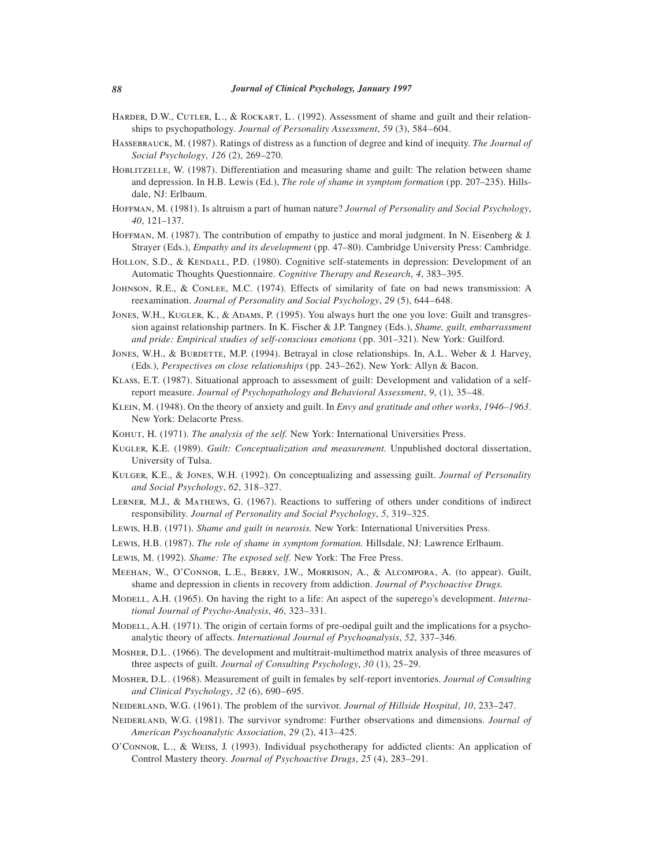- HARDER, D.W., CUTLER, L., & ROCKART, L. (1992). Assessment of shame and guilt and their relationships to psychopathology. *Journal of Personality Assessment*, *59* (3), 584–604.
- Hassebrauck, M. (1987). Ratings of distress as a function of degree and kind of inequity. *The Journal of Social Psychology*, *126* (2), 269–270.
- HOBLITZELLE, W. (1987). Differentiation and measuring shame and guilt: The relation between shame and depression. In H.B. Lewis (Ed.), *The role of shame in symptom formation* (pp. 207–235). Hillsdale, NJ: Erlbaum.
- Hoffman, M. (1981). Is altruism a part of human nature? *Journal of Personality and Social Psychology*, *40*, 121–137.
- HOFFMAN, M. (1987). The contribution of empathy to justice and moral judgment. In N. Eisenberg & J. Strayer (Eds.), *Empathy and its development* (pp. 47–80). Cambridge University Press: Cambridge.
- HOLLON, S.D., & KENDALL, P.D. (1980). Cognitive self-statements in depression: Development of an Automatic Thoughts Questionnaire. *Cognitive Therapy and Research*, *4*, 383–395.
- Johnson, R.E., & Conlee, M.C. (1974). Effects of similarity of fate on bad news transmission: A reexamination. *Journal of Personality and Social Psychology*, *29* (5), 644–648.
- JONES, W.H., KUGLER, K., & ADAMS, P. (1995). You always hurt the one you love: Guilt and transgression against relationship partners. In K. Fischer & J.P. Tangney (Eds.), *Shame, guilt, embarrassment and pride: Empirical studies of self-conscious emotions* (pp. 301–321). New York: Guilford.
- JONES, W.H., & BURDETTE, M.P. (1994). Betrayal in close relationships. In, A.L. Weber & J. Harvey, (Eds.), *Perspectives on close relationships* (pp. 243–262). New York: Allyn & Bacon.
- Klass, E.T. (1987). Situational approach to assessment of guilt: Development and validation of a selfreport measure. *Journal of Psychopathology and Behavioral Assessment*, *9*, (1), 35–48.
- Klein, M. (1948). On the theory of anxiety and guilt. In *Envy and gratitude and other works*, *1946–1963*. New York: Delacorte Press.
- KOHUT, H. (1971). *The analysis of the self.* New York: International Universities Press.
- Kugler, K.E. (1989). *Guilt: Conceptualization and measurement.* Unpublished doctoral dissertation, University of Tulsa.
- Kulger, K.E., & Jones, W.H. (1992). On conceptualizing and assessing guilt. *Journal of Personality and Social Psychology*, *62*, 318–327.
- Lerner, M.J., & Mathews, G. (1967). Reactions to suffering of others under conditions of indirect responsibility. *Journal of Personality and Social Psychology*, *5*, 319–325.
- Lewis, H.B. (1971). *Shame and guilt in neurosis.* New York: International Universities Press.
- Lewis, H.B. (1987). *The role of shame in symptom formation.* Hillsdale, NJ: Lawrence Erlbaum.
- Lewis, M. (1992). *Shame: The exposed self.* New York: The Free Press.
- Meehan, W., O'Connor, L .E., Berry, J.W., Morrison, A., & Alcompora, A. (to appear). Guilt, shame and depression in clients in recovery from addiction. *Journal of Psychoactive Drugs.*
- Modell, A.H. (1965). On having the right to a life: An aspect of the superego's development. *International Journal of Psycho-Analysis*, *46*, 323–331.
- Modell, A.H. (1971). The origin of certain forms of pre-oedipal guilt and the implications for a psychoanalytic theory of affects. *International Journal of Psychoanalysis*, *52*, 337–346.
- Mosher, D.L . (1966). The development and multitrait-multimethod matrix analysis of three measures of three aspects of guilt. *Journal of Consulting Psychology*, *30* (1), 25–29.
- Mosher, D.L . (1968). Measurement of guilt in females by self-report inventories. *Journal of Consulting and Clinical Psychology*, *32* (6), 690–695.
- NEIDERLAND, W.G. (1961). The problem of the survivor. *Journal of Hillside Hospital*, 10, 233–247.
- NEIDERLAND, W.G. (1981). The survivor syndrome: Further observations and dimensions. *Journal of American Psychoanalytic Association*, *29* (2), 413–425.
- O'Connor, L ., & Weiss, J. (1993). Individual psychotherapy for addicted clients: An application of Control Mastery theory. *Journal of Psychoactive Drugs*, *25* (4), 283–291.